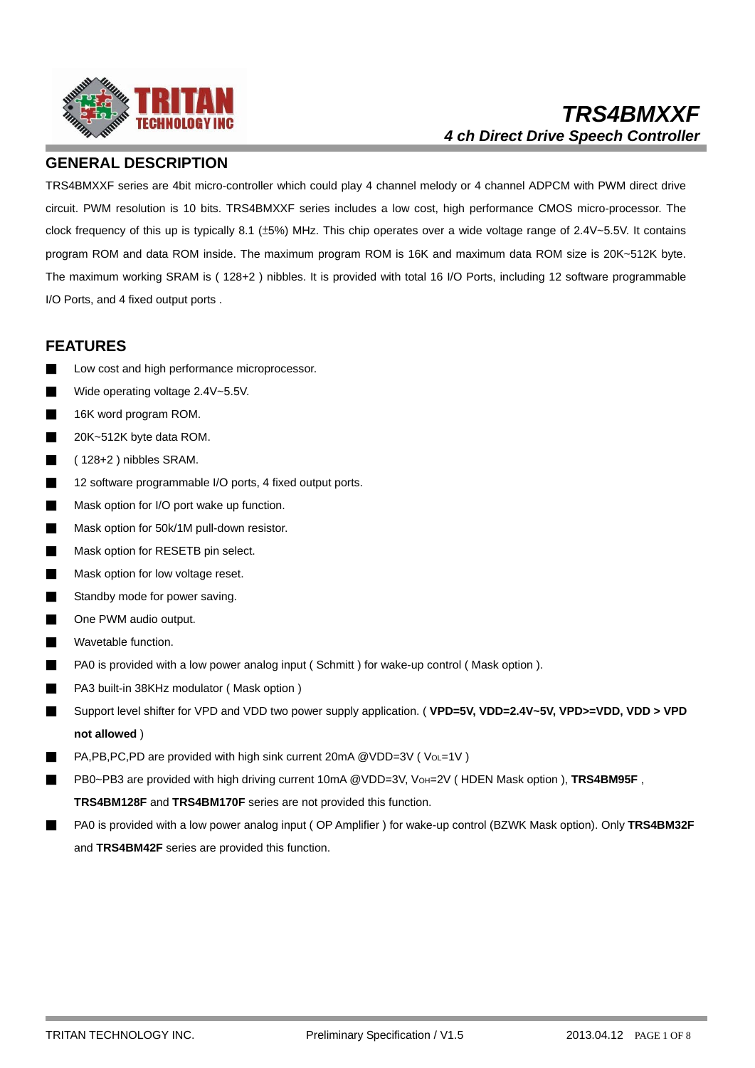

## **GENERAL DESCRIPTION**

TRS4BMXXF series are 4bit micro-controller which could play 4 channel melody or 4 channel ADPCM with PWM direct drive circuit. PWM resolution is 10 bits. TRS4BMXXF series includes a low cost, high performance CMOS micro-processor. The clock frequency of this up is typically 8.1 (±5%) MHz. This chip operates over a wide voltage range of 2.4V~5.5V. It contains program ROM and data ROM inside. The maximum program ROM is 16K and maximum data ROM size is 20K~512K byte. The maximum working SRAM is ( 128+2 ) nibbles. It is provided with total 16 I/O Ports, including 12 software programmable I/O Ports, and 4 fixed output ports .

## **FEATURES**

- Low cost and high performance microprocessor.
- Wide operating voltage 2.4V~5.5V.
- 16K word program ROM.
- 20K~512K byte data ROM.
- ( 128+2 ) nibbles SRAM.
- 12 software programmable I/O ports, 4 fixed output ports.
- Mask option for I/O port wake up function.
- Mask option for 50k/1M pull-down resistor.
- Mask option for RESETB pin select.
- Mask option for low voltage reset.
- Standby mode for power saving.
- One PWM audio output.
- Wavetable function.
- PA0 is provided with a low power analog input (Schmitt) for wake-up control (Mask option).
- PA3 built-in 38KHz modulator (Mask option)
- Support level shifter for VPD and VDD two power supply application. (**VPD=5V, VDD=2.4V~5V, VPD>=VDD, VDD > VPD not allowed** )
- PA,PB,PC,PD are provided with high sink current 20mA @VDD=3V (VoL=1V)
- PB0~PB3 are provided with high driving current 10mA @VDD=3V, VoH=2V (HDEN Mask option ), TRS4BM95F, **TRS4BM128F** and **TRS4BM170F** series are not provided this function.
- PA0 is provided with a low power analog input (OP Amplifier ) for wake-up control (BZWK Mask option). Only TRS4BM32F and **TRS4BM42F** series are provided this function.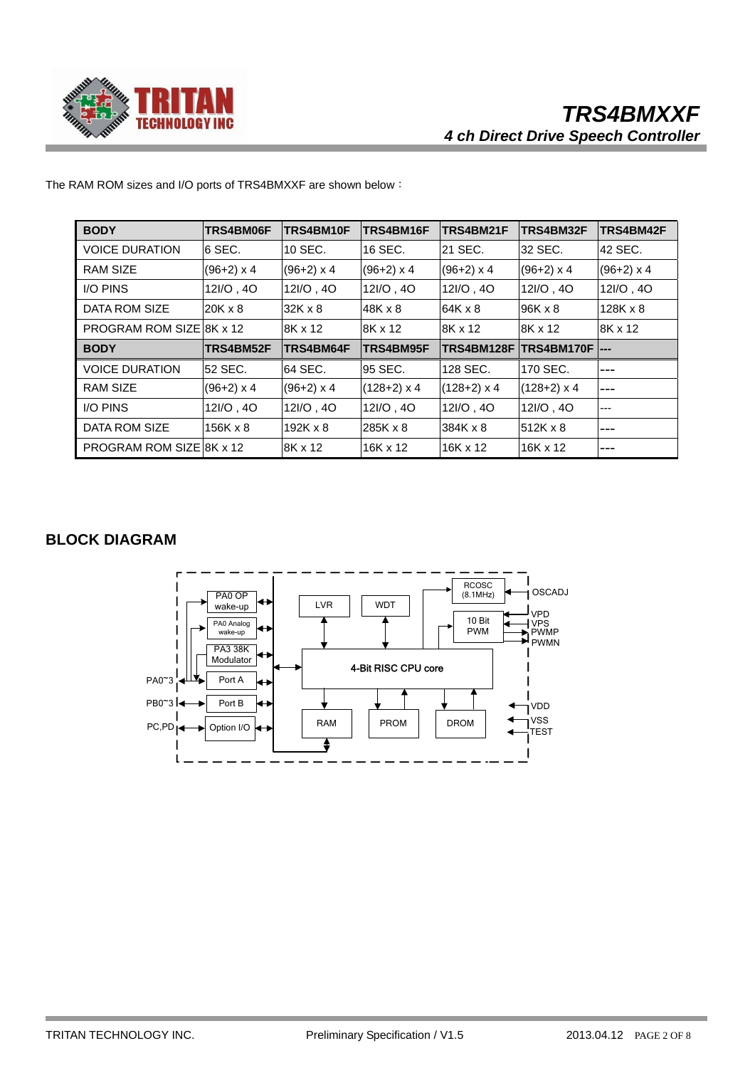

| <b>BODY</b>                     | TRS4BM06F         | TRS4BM10F       | TRS4BM16F         | TRS4BM21F          | TRS4BM32F          | <b>TRS4BM42F</b> |
|---------------------------------|-------------------|-----------------|-------------------|--------------------|--------------------|------------------|
| <b>VOICE DURATION</b>           | 6 SEC.            | 10 SEC.         | 16 SEC.           | 21 SEC.            | 32 SEC.            | 42 SEC.          |
| <b>RAM SIZE</b>                 | $(96+2)$ x 4      | $(96+2)$ x 4    | $(96+2) \times 4$ | $(96+2)$ x 4       | $(96+2) \times 4$  | $(96+2)$ x 4     |
| <b>I/O PINS</b>                 | 12I/O, 4O         | 12I/O, 4O       | 12I/O, 4O         | 12I/O, 4O          | 12I/O, 4O          | 12I/O, 4O        |
| DATA ROM SIZE                   | $20K \times 8$    | $32K \times 8$  | 48K x 8           | 64K x 8            | 96K x 8            | $128K \times 8$  |
| PROGRAM ROM SIZE 8K x 12        |                   | 8K x 12         | 8K x 12           | 8K x 12            | 8K x 12            | 8K x 12          |
| <b>BODY</b>                     | TRS4BM52F         | TRS4BM64F       | TRS4BM95F         | TRS4BM128F         |                    |                  |
| <b>VOICE DURATION</b>           | 52 SEC.           | 64 SEC.         | 95 SEC.           | 128 SEC.           | 170 SEC.           | $---$            |
| <b>RAM SIZE</b>                 | $(96+2) \times 4$ | $(96+2)$ x 4    | $(128+2)$ x 4     | $(128+2) \times 4$ | $(128+2) \times 4$ | $---$            |
| <b>I/O PINS</b>                 | 12I/O, 4O         | 12I/O, 4O       | 12I/O, 4O         | 12I/O, 4O          | 12I/O, 4O          | $---$            |
| DATA ROM SIZE                   | $156K \times 8$   | $192K \times 8$ | 285K x 8          | 384K x 8           | 512K x 8           | ---              |
| <b>PROGRAM ROM SIZE 8K x 12</b> |                   | 8K x 12         | 16K x 12          | 16K x 12           | 16K x 12           | $---$            |

The RAM ROM sizes and I/O ports of TRS4BMXXF are shown below:

# **BLOCK DIAGRAM**

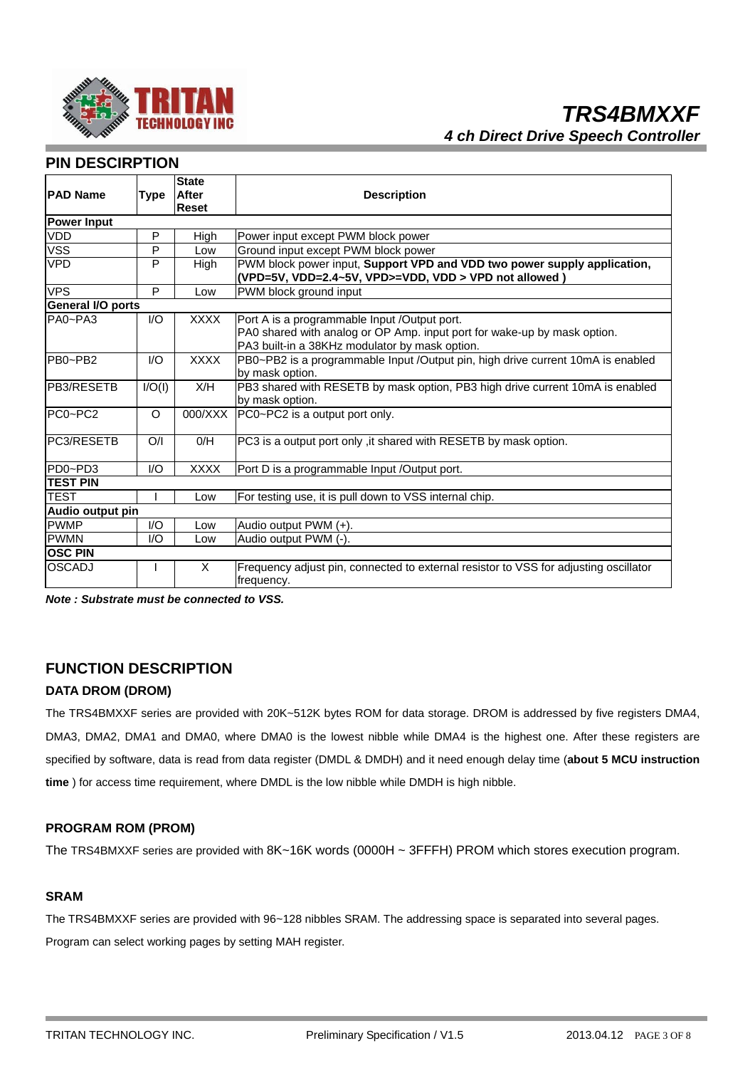

# **PIN DESCIRPTION**

|                          |             | <b>State</b> |                                                                                                                                                                            |
|--------------------------|-------------|--------------|----------------------------------------------------------------------------------------------------------------------------------------------------------------------------|
| <b>PAD Name</b>          | <b>Type</b> | <b>After</b> | <b>Description</b>                                                                                                                                                         |
|                          |             | Reset        |                                                                                                                                                                            |
| <b>Power Input</b>       |             |              |                                                                                                                                                                            |
| <b>VDD</b>               | P           | High         | Power input except PWM block power                                                                                                                                         |
| <b>VSS</b>               | P           | Low          | Ground input except PWM block power                                                                                                                                        |
| <b>VPD</b>               | P           | High         | PWM block power input, Support VPD and VDD two power supply application,<br>(VPD=5V, VDD=2.4~5V, VPD>=VDD, VDD > VPD not allowed)                                          |
| <b>VPS</b>               | P           | Low          | PWM block ground input                                                                                                                                                     |
| <b>General I/O ports</b> |             |              |                                                                                                                                                                            |
| PA0~PA3                  | 1/O         | <b>XXXX</b>  | Port A is a programmable Input /Output port.<br>PA0 shared with analog or OP Amp. input port for wake-up by mask option.<br>PA3 built-in a 38KHz modulator by mask option. |
| PB0~PB2                  | 1/O         | <b>XXXX</b>  | PB0~PB2 is a programmable Input /Output pin, high drive current 10mA is enabled<br>by mask option.                                                                         |
| <b>IPB3/RESETB</b>       | I/O(I)      | X/H          | PB3 shared with RESETB by mask option, PB3 high drive current 10mA is enabled<br>by mask option.                                                                           |
| PC0~PC2                  | $\Omega$    | 000/XXX      | PC0~PC2 is a output port only.                                                                                                                                             |
| <b>PC3/RESETB</b>        | O/I         | O/H          | PC3 is a output port only, it shared with RESETB by mask option.                                                                                                           |
| PD0~PD3                  | 1/O         | <b>XXXX</b>  | Port D is a programmable Input /Output port.                                                                                                                               |
| <b>TEST PIN</b>          |             |              |                                                                                                                                                                            |
| <b>TEST</b>              |             | Low          | For testing use, it is pull down to VSS internal chip.                                                                                                                     |
| Audio output pin         |             |              |                                                                                                                                                                            |
| <b>PWMP</b>              | I/O         | Low          | Audio output $PWM (+)$ .                                                                                                                                                   |
| <b>PWMN</b>              | 1/O         | Low          | Audio output PWM (-).                                                                                                                                                      |
| <b>OSC PIN</b>           |             |              |                                                                                                                                                                            |
| lOSCADJ                  |             | X            | Frequency adjust pin, connected to external resistor to VSS for adjusting oscillator<br>frequency.                                                                         |

*Note : Substrate must be connected to VSS.*

## **FUNCTION DESCRIPTION**

## **DATA DROM (DROM)**

The TRS4BMXXF series are provided with 20K~512K bytes ROM for data storage. DROM is addressed by five registers DMA4, DMA3, DMA2, DMA1 and DMA0, where DMA0 is the lowest nibble while DMA4 is the highest one. After these registers are specified by software, data is read from data register (DMDL & DMDH) and it need enough delay time (**about 5 MCU instruction time** ) for access time requirement, where DMDL is the low nibble while DMDH is high nibble.

## **PROGRAM ROM (PROM)**

The TRS4BMXXF series are provided with 8K~16K words (0000H ~ 3FFFH) PROM which stores execution program.

## **SRAM**

The TRS4BMXXF series are provided with 96~128 nibbles SRAM. The addressing space is separated into several pages. Program can select working pages by setting MAH register.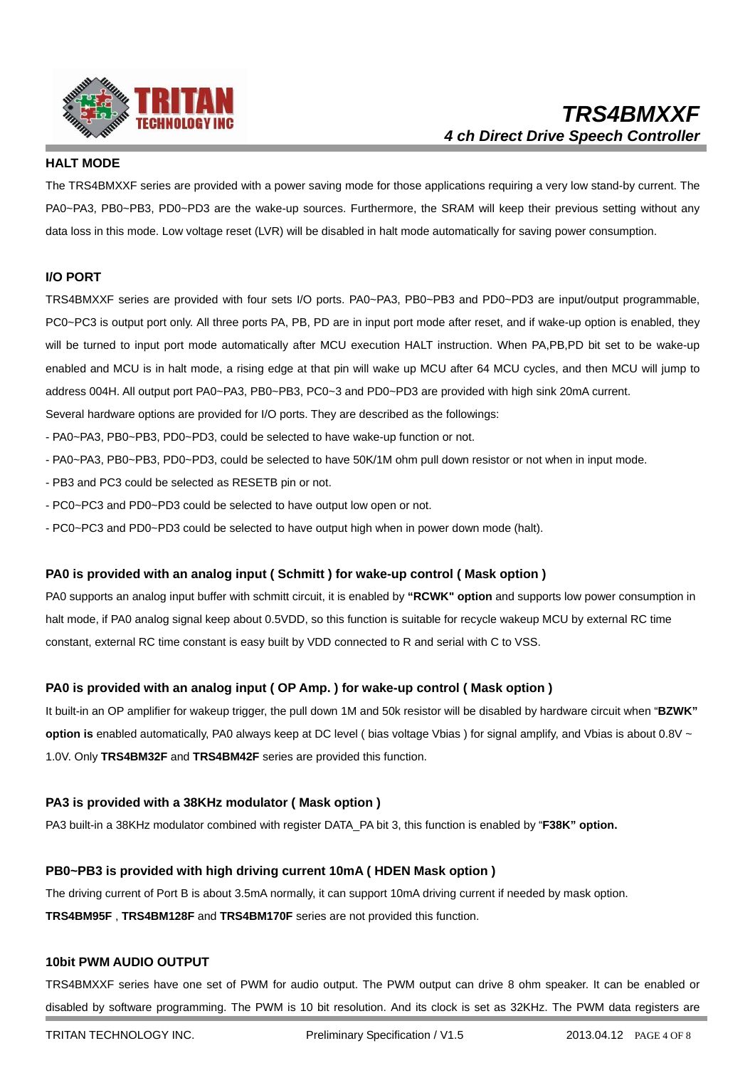

## **HALT MODE**

The TRS4BMXXF series are provided with a power saving mode for those applications requiring a very low stand-by current. The PA0~PA3, PB0~PB3, PD0~PD3 are the wake-up sources. Furthermore, the SRAM will keep their previous setting without any data loss in this mode. Low voltage reset (LVR) will be disabled in halt mode automatically for saving power consumption.

#### **I/O PORT**

TRS4BMXXF series are provided with four sets I/O ports. PA0~PA3, PB0~PB3 and PD0~PD3 are input/output programmable, PC0~PC3 is output port only. All three ports PA, PB, PD are in input port mode after reset, and if wake-up option is enabled, they will be turned to input port mode automatically after MCU execution HALT instruction. When PA,PB,PD bit set to be wake-up enabled and MCU is in halt mode, a rising edge at that pin will wake up MCU after 64 MCU cycles, and then MCU will jump to address 004H. All output port PA0~PA3, PB0~PB3, PC0~3 and PD0~PD3 are provided with high sink 20mA current.

Several hardware options are provided for I/O ports. They are described as the followings:

- PA0~PA3, PB0~PB3, PD0~PD3, could be selected to have wake-up function or not.
- PA0~PA3, PB0~PB3, PD0~PD3, could be selected to have 50K/1M ohm pull down resistor or not when in input mode.
- PB3 and PC3 could be selected as RESETB pin or not.
- PC0~PC3 and PD0~PD3 could be selected to have output low open or not.
- PC0~PC3 and PD0~PD3 could be selected to have output high when in power down mode (halt).

#### **PA0 is provided with an analog input ( Schmitt ) for wake-up control ( Mask option )**

PA0 supports an analog input buffer with schmitt circuit, it is enabled by **"RCWK" option** and supports low power consumption in halt mode, if PA0 analog signal keep about 0.5VDD, so this function is suitable for recycle wakeup MCU by external RC time constant, external RC time constant is easy built by VDD connected to R and serial with C to VSS.

#### **PA0 is provided with an analog input ( OP Amp. ) for wake-up control ( Mask option )**

It built-in an OP amplifier for wakeup trigger, the pull down 1M and 50k resistor will be disabled by hardware circuit when "**BZWK" option is** enabled automatically, PA0 always keep at DC level ( bias voltage Vbias ) for signal amplify, and Vbias is about 0.8V ~ 1.0V. Only **TRS4BM32F** and **TRS4BM42F** series are provided this function.

#### **PA3 is provided with a 38KHz modulator ( Mask option )**

PA3 built-in a 38KHz modulator combined with register DATA\_PA bit 3, this function is enabled by "**F38K" option.** 

#### **PB0~PB3 is provided with high driving current 10mA ( HDEN Mask option )**

The driving current of Port B is about 3.5mA normally, it can support 10mA driving current if needed by mask option.

**TRS4BM95F** , **TRS4BM128F** and **TRS4BM170F** series are not provided this function.

#### **10bit PWM AUDIO OUTPUT**

TRS4BMXXF series have one set of PWM for audio output. The PWM output can drive 8 ohm speaker. It can be enabled or disabled by software programming. The PWM is 10 bit resolution. And its clock is set as 32KHz. The PWM data registers are

TRITAN TECHNOLOGY INC. Preliminary Specification / V1.5 2013.04.12 PAGE 4 OF 8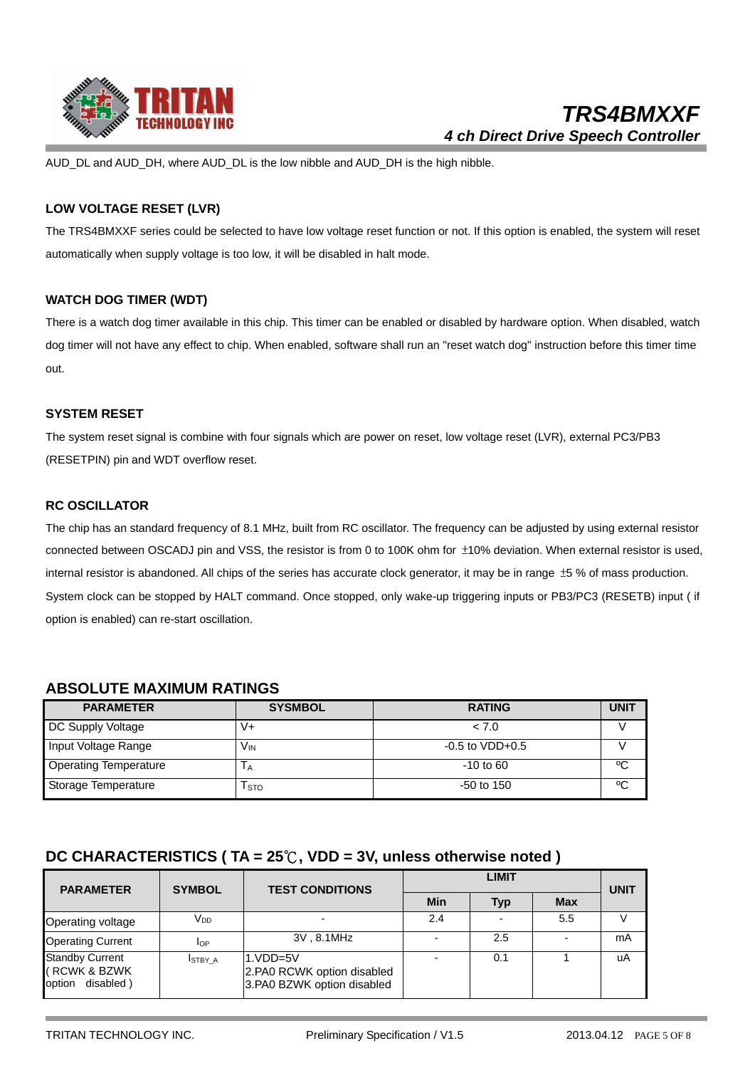

AUD DL and AUD\_DH, where AUD\_DL is the low nibble and AUD\_DH is the high nibble.

## **LOW VOLTAGE RESET (LVR)**

The TRS4BMXXF series could be selected to have low voltage reset function or not. If this option is enabled, the system will reset automatically when supply voltage is too low, it will be disabled in halt mode.

## **WATCH DOG TIMER (WDT)**

There is a watch dog timer available in this chip. This timer can be enabled or disabled by hardware option. When disabled, watch dog timer will not have any effect to chip. When enabled, software shall run an "reset watch dog" instruction before this timer time out.

## **SYSTEM RESET**

The system reset signal is combine with four signals which are power on reset, low voltage reset (LVR), external PC3/PB3 (RESETPIN) pin and WDT overflow reset.

## **RC OSCILLATOR**

The chip has an standard frequency of 8.1 MHz, built from RC oscillator. The frequency can be adjusted by using external resistor connected between OSCADJ pin and VSS, the resistor is from 0 to 100K ohm for ±10% deviation. When external resistor is used, internal resistor is abandoned. All chips of the series has accurate clock generator, it may be in range ±5 % of mass production. System clock can be stopped by HALT command. Once stopped, only wake-up triggering inputs or PB3/PC3 (RESETB) input ( if option is enabled) can re-start oscillation.

## **ABSOLUTE MAXIMUM RATINGS**

| <b>PARAMETER</b>             | <b>SYSMBOL</b> | <b>RATING</b>        | <b>UNIT</b> |
|------------------------------|----------------|----------------------|-------------|
| DC Supply Voltage            | V+             | < 7.0                |             |
| Input Voltage Range          | VIN            | $-0.5$ to VDD $+0.5$ |             |
| <b>Operating Temperature</b> | IА             | $-10$ to 60          | °C          |
| Storage Temperature          | l sto          | $-50$ to 150         | ٥C          |

## **DC CHARACTERISTICS ( TA = 25**℃**, VDD = 3V, unless otherwise noted )**

| <b>PARAMETER</b>                                              | <b>SYMBOL</b>   | <b>TEST CONDITIONS</b>                                                 | <b>LIMIT</b> |            |            | <b>UNIT</b> |
|---------------------------------------------------------------|-----------------|------------------------------------------------------------------------|--------------|------------|------------|-------------|
|                                                               |                 |                                                                        | Min          | <b>Typ</b> | <b>Max</b> |             |
| Operating voltage                                             | V <sub>DD</sub> |                                                                        | 2.4          |            | 5.5        |             |
| <b>Operating Current</b>                                      | lop             | 3V, 8.1MHz                                                             |              | 2.5        |            | mA          |
| <b>Standby Current</b><br>(RCWK & BZWK<br>disabled)<br>option | ISTBY A         | $1.VDD=5V$<br>2.PA0 RCWK option disabled<br>3.PA0 BZWK option disabled |              | 0.1        |            | uA          |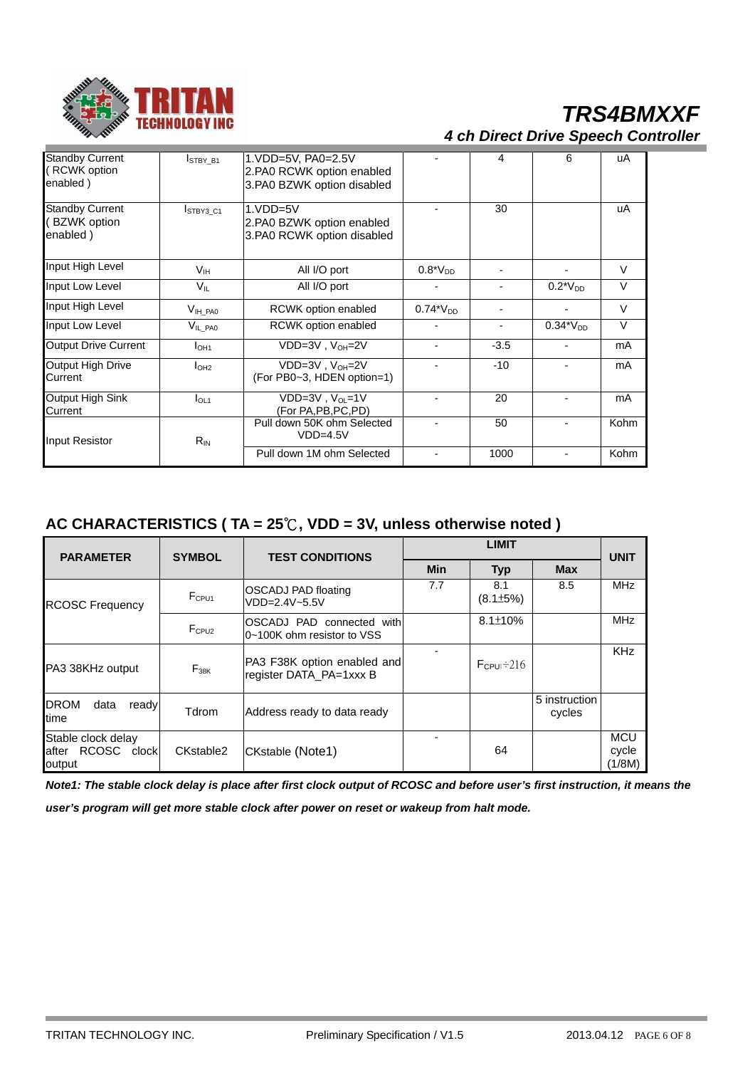

# *TRS4BMXXF 4 ch Direct Drive Speech Controller*

| <b>Standby Current</b><br>(RCWK option<br>enabled) | <b>ISTBY B1</b>        | 1.VDD=5V, PA0=2.5V<br>2.PA0 RCWK option enabled<br>3.PA0 BZWK option disabled |                              | 4                        | 6                        | uA     |
|----------------------------------------------------|------------------------|-------------------------------------------------------------------------------|------------------------------|--------------------------|--------------------------|--------|
| <b>Standby Current</b><br>(BZWK option<br>enabled) | <b>ISTBY3 C1</b>       | $1.VDD=5V$<br>2.PA0 BZWK option enabled<br>3.PA0 RCWK option disabled         |                              | 30                       |                          | uA     |
| Input High Level                                   | V <sub>IH</sub>        | All I/O port                                                                  | $0.8*V_{DD}$                 |                          |                          | $\vee$ |
| Input Low Level                                    | $V_{\parallel}$        | All I/O port                                                                  |                              |                          | $0.2*V_{DD}$             | $\vee$ |
| Input High Level                                   | $V_{\mathsf{IH\_PA0}}$ | RCWK option enabled                                                           | $0.74^{\ast}\mathrm{V_{DD}}$ |                          |                          | V      |
| Input Low Level                                    | $V_{IL\_PA0}$          | RCWK option enabled                                                           |                              | $\overline{\phantom{a}}$ | $0.34*V_{DD}$            | $\vee$ |
| Output Drive Current                               | I <sub>OH1</sub>       | VDD=3V, V <sub>OH</sub> =2V                                                   |                              | $-3.5$                   | -                        | mA     |
| Output High Drive<br>Current                       | I <sub>OH2</sub>       | $VDD=3V$ , $V_{OH}=2V$<br>(For PB0~3, HDEN option=1)                          |                              | $-10$                    | $\blacksquare$           | mA     |
| Output High Sink<br>Current                        | I <sub>OL1</sub>       | $VDD=3V$ , $V_{OL}=1V$<br>(For PA, PB, PC, PD)                                |                              | 20                       | $\overline{a}$           | mA     |
| Input Resistor                                     | $R_{IN}$               | Pull down 50K ohm Selected<br>$VDD=4.5V$                                      |                              | 50                       | $\blacksquare$           | Kohm   |
|                                                    |                        | Pull down 1M ohm Selected                                                     |                              | 1000                     | $\overline{\phantom{0}}$ | Kohm   |

# **AC CHARACTERISTICS ( TA = 25**℃**, VDD = 3V, unless otherwise noted )**

| <b>PARAMETER</b>                                  | <b>SYMBOL</b>     | <b>TEST CONDITIONS</b>                                  | <b>LIMIT</b> |                        |                         | <b>UNIT</b>                   |
|---------------------------------------------------|-------------------|---------------------------------------------------------|--------------|------------------------|-------------------------|-------------------------------|
|                                                   |                   |                                                         | <b>Min</b>   | <b>Typ</b>             | <b>Max</b>              |                               |
| <b>RCOSC Frequency</b>                            | F <sub>CPU1</sub> | OSCADJ PAD floating<br>$VDD=2.4V~5.5V$                  | 7.7          | 8.1<br>$(8.1 \pm 5\%)$ | 8.5                     | <b>MHz</b>                    |
|                                                   | F <sub>CPU2</sub> | OSCADJ PAD connected with<br>0~100K ohm resistor to VSS |              | $8.1 \pm 10\%$         |                         | <b>MHz</b>                    |
| PA3 38KHz output                                  | $F_{38K}$         | PA3 F38K option enabled and<br>register DATA_PA=1xxx B  |              | $F_{\rm CPU} \div 216$ |                         | <b>KHz</b>                    |
| <b>DROM</b><br>data<br>ready<br>time              | Tdrom             | Address ready to data ready                             |              |                        | 5 instruction<br>cycles |                               |
| Stable clock delay<br>after RCOSC clock<br>output | CKstable2         | CKstable (Note1)                                        |              | 64                     |                         | <b>MCU</b><br>cycle<br>(1/8M) |

*Note1: The stable clock delay is place after first clock output of RCOSC and before user's first instruction, it means the* 

*user's program will get more stable clock after power on reset or wakeup from halt mode.*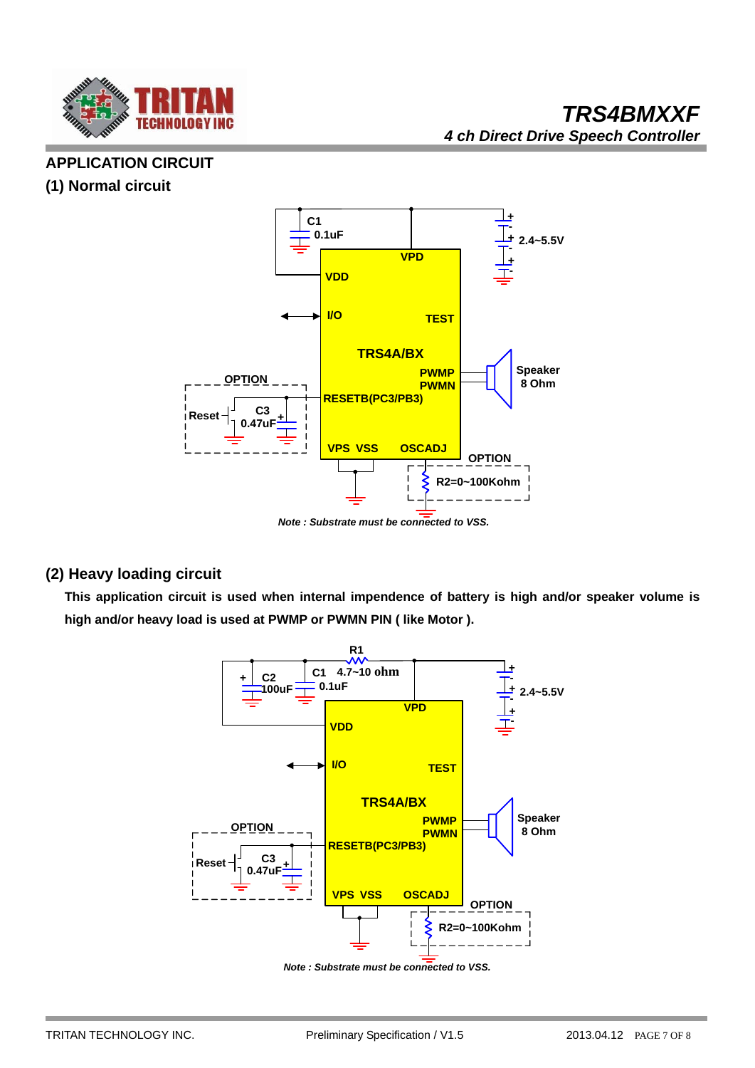

# **APPLICATION CIRCUIT**

# **(1) Normal circuit**



*Note : Substrate must be connected to VSS.*

# **(2) Heavy loading circuit**

 **This application circuit is used when internal impendence of battery is high and/or speaker volume is high and/or heavy load is used at PWMP or PWMN PIN ( like Motor ).** 



*Note : Substrate must be connected to VSS.*